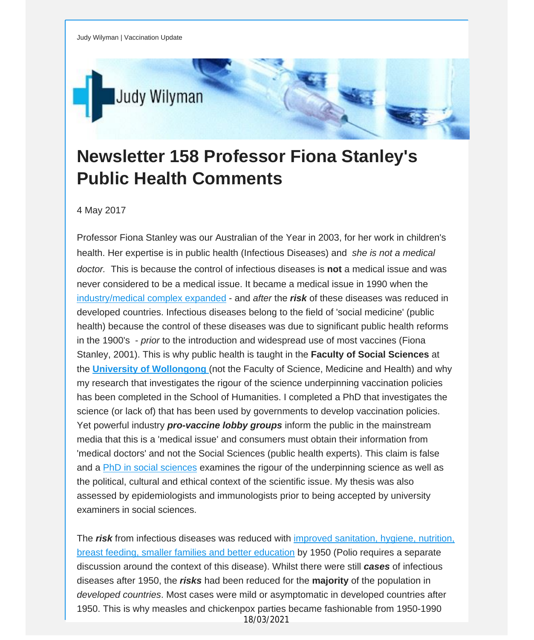

## **Newsletter 158 Professor Fiona Stanley's Public Health Comments**

4 May 2017

Professor Fiona Stanley was our Australian of the Year in 2003, for her work in children's health. Her expertise is in public health (Infectious Diseases) and *she is not a medical doctor.* This is because the control of infectious diseases is **not** a medical issue and was never considered to be a medical issue. It became a medical issue in 1990 when the [industry/medical](http://vaccinationdecisions.us8.list-manage1.com/track/click?u=f20605fde3732e41929f4a3f2&id=8b266ba8d2&e=fec8337d3c) complex expanded - and *after* the *risk* of these diseases was reduced in developed countries. Infectious diseases belong to the field of 'social medicine' (public health) because the control of these diseases was due to significant public health reforms in the 1900's - *prior* to the introduction and widespread use of most vaccines (Fiona Stanley, 2001). This is why public health is taught in the **Faculty of Social Sciences** at the **University of [Wollongong](http://vaccinationdecisions.us8.list-manage.com/track/click?u=f20605fde3732e41929f4a3f2&id=432aa8eed5&e=fec8337d3c)** (not the Faculty of Science, Medicine and Health) and why my research that investigates the rigour of the science underpinning vaccination policies has been completed in the School of Humanities. I completed a PhD that investigates the science (or lack of) that has been used by governments to develop vaccination policies. Yet powerful industry *pro-vaccine lobby groups* inform the public in the mainstream media that this is a 'medical issue' and consumers must obtain their information from 'medical doctors' and not the Social Sciences (public health experts). This claim is false and a PhD in social [sciences](http://vaccinationdecisions.us8.list-manage2.com/track/click?u=f20605fde3732e41929f4a3f2&id=d1f5f6419f&e=fec8337d3c) examines the rigour of the underpinning science as well as the political, cultural and ethical context of the scientific issue. My thesis was also assessed by epidemiologists and immunologists prior to being accepted by university examiners in social sciences.

The *risk* from infectious diseases was reduced with improved [sanitation,](http://vaccinationdecisions.us8.list-manage1.com/track/click?u=f20605fde3732e41929f4a3f2&id=8e0c1616b5&e=fec8337d3c) hygiene, nutrition, breast feeding, smaller families and better [education](http://vaccinationdecisions.us8.list-manage1.com/track/click?u=f20605fde3732e41929f4a3f2&id=8e0c1616b5&e=fec8337d3c) by 1950 (Polio requires a separate discussion around the context of this disease). Whilst there were still *cases* of infectious diseases after 1950, the *risks* had been reduced for the **majority** of the population in *developed countries*. Most cases were mild or asymptomatic in developed countries after 1950. This is why measles and chickenpox parties became fashionable from 1950-1990 18/03/2021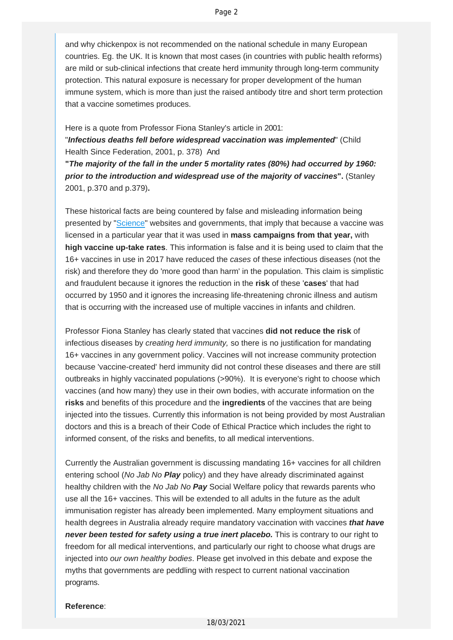and why chickenpox is not recommended on the national schedule in many European countries. Eg. the UK. It is known that most cases (in countries with public health reforms) are mild or sub-clinical infections that create herd immunity through long-term community protection. This natural exposure is necessary for proper development of the human immune system, which is more than just the raised antibody titre and short term protection that a vaccine sometimes produces.

Here is a quote from Professor Fiona Stanley's article in 2001:

"*Infectious deaths fell before widespread vaccination was implemented*" (Child Health Since Federation, 2001, p. 378) And

**"***The majority of the fall in the under 5 mortality rates (80%) had occurred by 1960: prior to the introduction and widespread use of the majority of vaccines***".** (Stanley 2001, p.370 and p.379)**.**

These historical facts are being countered by false and misleading information being presented by ["Science"](http://vaccinationdecisions.us8.list-manage.com/track/click?u=f20605fde3732e41929f4a3f2&id=5afa3c065d&e=fec8337d3c) websites and governments, that imply that because a vaccine was licensed in a particular year that it was used in **mass campaigns from that year,** with **high vaccine up-take rates**. This information is false and it is being used to claim that the 16+ vaccines in use in 2017 have reduced the *cases* of these infectious diseases (not the risk) and therefore they do 'more good than harm' in the population. This claim is simplistic and fraudulent because it ignores the reduction in the **risk** of these '**cases**' that had occurred by 1950 and it ignores the increasing life-threatening chronic illness and autism that is occurring with the increased use of multiple vaccines in infants and children.

Professor Fiona Stanley has clearly stated that vaccines **did not reduce the risk** of infectious diseases by *creating herd immunity,* so there is no justification for mandating 16+ vaccines in any government policy. Vaccines will not increase community protection because 'vaccine-created' herd immunity did not control these diseases and there are still outbreaks in highly vaccinated populations (>90%). It is everyone's right to choose which vaccines (and how many) they use in their own bodies, with accurate information on the **risks** and benefits of this procedure and the **ingredients** of the vaccines that are being injected into the tissues. Currently this information is not being provided by most Australian doctors and this is a breach of their Code of Ethical Practice which includes the right to informed consent, of the risks and benefits, to all medical interventions.

Currently the Australian government is discussing mandating 16+ vaccines for all children entering school (*No Jab No Play* policy) and they have already discriminated against healthy children with the *No Jab No Pay* Social Welfare policy that rewards parents who use all the 16+ vaccines. This will be extended to all adults in the future as the adult immunisation register has already been implemented. Many employment situations and health degrees in Australia already require mandatory vaccination with vaccines *that have never been tested for safety using a true inert placebo.* This is contrary to our right to freedom for all medical interventions, and particularly our right to choose what drugs are injected into *our own healthy bodies*. Please get involved in this debate and expose the myths that governments are peddling with respect to current national vaccination programs.

## **Reference**: